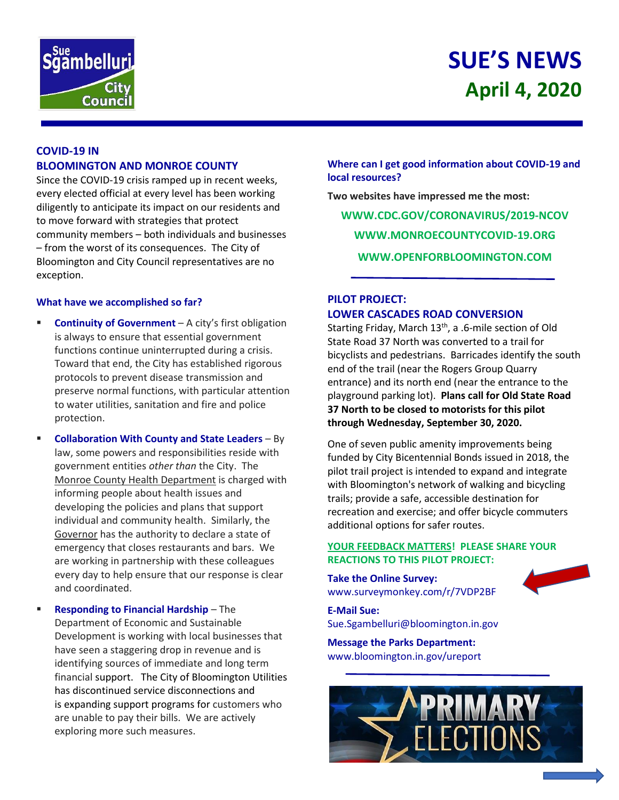

# **SUE'S NEWS April 4, 2020**

# **COVID-19 IN BLOOMINGTON AND MONROE COUNTY**

Since the COVID-19 crisis ramped up in recent weeks, every elected official at every level has been working diligently to anticipate its impact on our residents and to move forward with strategies that protect community members – both individuals and businesses – from the worst of its consequences. The City of Bloomington and City Council representatives are no exception.

## **What have we accomplished so far?**

- **Continuity of Government** A city's first obligation is always to ensure that essential government functions continue uninterrupted during a crisis. Toward that end, the City has established rigorous protocols to prevent disease transmission and preserve normal functions, with particular attention to water utilities, sanitation and fire and police protection.
- **Collaboration With County and State Leaders** By law, some powers and responsibilities reside with government entities *other than* the City. The Monroe County Health Department is charged with informing people about health issues and developing the policies and plans that support individual and community health. Similarly, the Governor has the authority to declare a state of emergency that closes restaurants and bars. We are working in partnership with these colleagues every day to help ensure that our response is clear and coordinated.
- **Responding to Financial Hardship** The Department of Economic and Sustainable Development is working with local businesses that have seen a staggering drop in revenue and is identifying sources of immediate and long term financial support. The City of Bloomington Utilities has discontinued service disconnections and is expanding support programs for customers who are unable to pay their bills. We are actively exploring more such measures.

**Where can I get good information about COVID-19 and local resources?**

**Two websites have impressed me the most: WWW.CDC.GOV/CORONAVIRUS/2019-NCOV WWW.MONROECOUNTYCOVID-19.ORG WWW.OPENFORBLOOMINGTON.COM**

# **PILOT PROJECT: LOWER CASCADES ROAD CONVERSION**

Starting Friday, March 13<sup>th</sup>, a .6-mile section of Old State Road 37 North was converted to a trail for bicyclists and pedestrians. Barricades identify the south end of the trail (near the Rogers Group Quarry entrance) and its north end (near the entrance to the playground parking lot). **Plans call for Old State Road 37 North to be closed to motorists for this pilot through Wednesday, September 30, 2020.**

One of seven public amenity improvements being funded by City Bicentennial Bonds issued in 2018, the pilot trail project is intended to expand and integrate with Bloomington's network of walking and bicycling trails; provide a safe, accessible destination for recreation and exercise; and offer bicycle commuters additional options for safer routes.

## **YOUR FEEDBACK MATTERS! PLEASE SHARE YOUR REACTIONS TO THIS PILOT PROJECT:**

**Take the Online Survey:**  www.surveymonkey.com/r/7VDP2BF

**E-Mail Sue:**  Sue.Sgambelluri@bloomington.in.gov

**Message the Parks Department:**  [www.bloomington.in.gov/ureport](http://www.bloomington.in.gov/ureport)